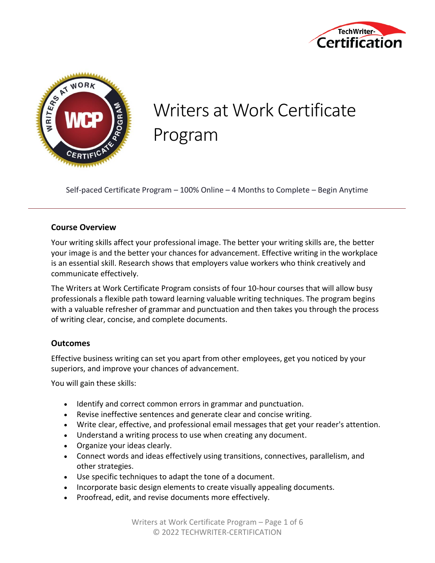



# Writers at Work Certificate Program

Self-paced Certificate Program – 100% Online – 4 Months to Complete – Begin Anytime

### **Course Overview**

Your writing skills affect your professional image. The better your writing skills are, the better your image is and the better your chances for advancement. Effective writing in the workplace is an essential skill. Research shows that employers value workers who think creatively and communicate effectively.

The Writers at Work Certificate Program consists of four 10-hour courses that will allow busy professionals a flexible path toward learning valuable writing techniques. The program begins with a valuable refresher of grammar and punctuation and then takes you through the process of writing clear, concise, and complete documents.

### **Outcomes**

Effective business writing can set you apart from other employees, get you noticed by your superiors, and improve your chances of advancement.

You will gain these skills:

- Identify and correct common errors in grammar and punctuation.
- Revise ineffective sentences and generate clear and concise writing.
- Write clear, effective, and professional email messages that get your reader's attention.
- Understand a writing process to use when creating any document.
- Organize your ideas clearly.
- Connect words and ideas effectively using transitions, connectives, parallelism, and other strategies.
- Use specific techniques to adapt the tone of a document.
- Incorporate basic design elements to create visually appealing documents.
- Proofread, edit, and revise documents more effectively.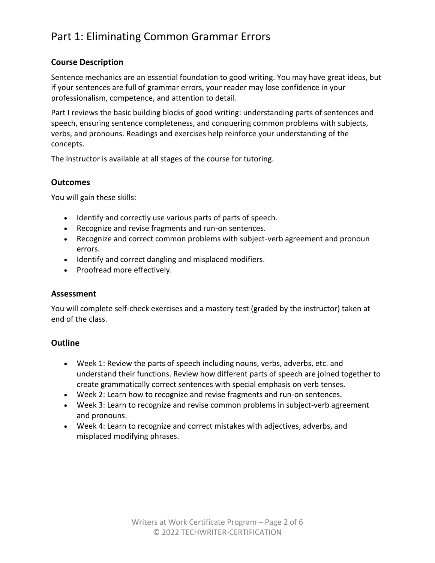## Part 1: Eliminating Common Grammar Errors

### **Course Description**

Sentence mechanics are an essential foundation to good writing. You may have great ideas, but if your sentences are full of grammar errors, your reader may lose confidence in your professionalism, competence, and attention to detail.

Part I reviews the basic building blocks of good writing: understanding parts of sentences and speech, ensuring sentence completeness, and conquering common problems with subjects, verbs, and pronouns. Readings and exercises help reinforce your understanding of the concepts.

The instructor is available at all stages of the course for tutoring.

### **Outcomes**

You will gain these skills:

- Identify and correctly use various parts of parts of speech.
- Recognize and revise fragments and run-on sentences.
- Recognize and correct common problems with subject-verb agreement and pronoun errors.
- Identify and correct dangling and misplaced modifiers.
- Proofread more effectively.

#### **Assessment**

You will complete self-check exercises and a mastery test (graded by the instructor) taken at end of the class.

- Week 1: Review the parts of speech including nouns, verbs, adverbs, etc. and understand their functions. Review how different parts of speech are joined together to create grammatically correct sentences with special emphasis on verb tenses.
- Week 2: Learn how to recognize and revise fragments and run-on sentences.
- Week 3: Learn to recognize and revise common problems in subject-verb agreement and pronouns.
- Week 4: Learn to recognize and correct mistakes with adjectives, adverbs, and misplaced modifying phrases.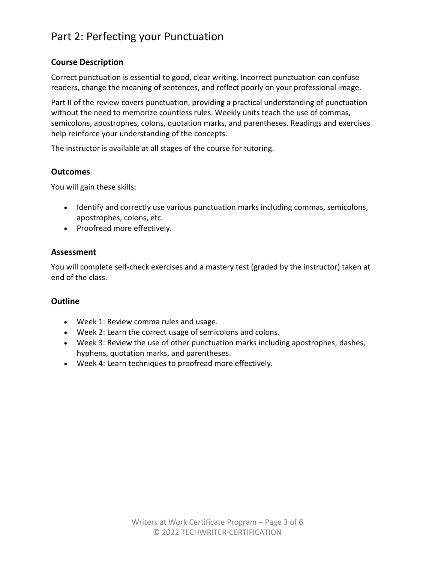### Part 2: Perfecting your Punctuation

### **Course Description**

Correct punctuation is essential to good, clear writing. Incorrect punctuation can confuse readers, change the meaning of sentences, and reflect poorly on your professional image.

Part II of the review covers punctuation, providing a practical understanding of punctuation without the need to memorize countless rules. Weekly units teach the use of commas, semicolons, apostrophes, colons, quotation marks, and parentheses. Readings and exercises help reinforce your understanding of the concepts.

The instructor is available at all stages of the course for tutoring.

### **Outcomes**

You will gain these skills:

- Identify and correctly use various punctuation marks including commas, semicolons, apostrophes, colons, etc.
- Proofread more effectively.

### **Assessment**

You will complete self-check exercises and a mastery test (graded by the instructor) taken at end of the class.

- Week 1: Review comma rules and usage.
- Week 2: Learn the correct usage of semicolons and colons.
- Week 3: Review the use of other punctuation marks including apostrophes, dashes, hyphens, quotation marks, and parentheses.
- Week 4: Learn techniques to proofread more effectively.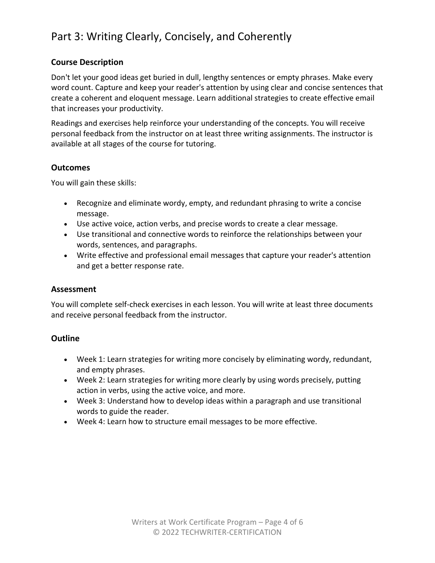# Part 3: Writing Clearly, Concisely, and Coherently

### **Course Description**

Don't let your good ideas get buried in dull, lengthy sentences or empty phrases. Make every word count. Capture and keep your reader's attention by using clear and concise sentences that create a coherent and eloquent message. Learn additional strategies to create effective email that increases your productivity.

Readings and exercises help reinforce your understanding of the concepts. You will receive personal feedback from the instructor on at least three writing assignments. The instructor is available at all stages of the course for tutoring.

#### **Outcomes**

You will gain these skills:

- Recognize and eliminate wordy, empty, and redundant phrasing to write a concise message.
- Use active voice, action verbs, and precise words to create a clear message.
- Use transitional and connective words to reinforce the relationships between your words, sentences, and paragraphs.
- Write effective and professional email messages that capture your reader's attention and get a better response rate.

### **Assessment**

You will complete self-check exercises in each lesson. You will write at least three documents and receive personal feedback from the instructor.

- Week 1: Learn strategies for writing more concisely by eliminating wordy, redundant, and empty phrases.
- Week 2: Learn strategies for writing more clearly by using words precisely, putting action in verbs, using the active voice, and more.
- Week 3: Understand how to develop ideas within a paragraph and use transitional words to guide the reader.
- Week 4: Learn how to structure email messages to be more effective.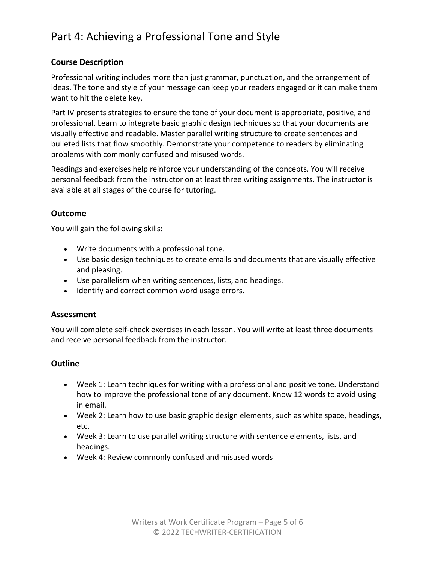## Part 4: Achieving a Professional Tone and Style

### **Course Description**

Professional writing includes more than just grammar, punctuation, and the arrangement of ideas. The tone and style of your message can keep your readers engaged or it can make them want to hit the delete key.

Part IV presents strategies to ensure the tone of your document is appropriate, positive, and professional. Learn to integrate basic graphic design techniques so that your documents are visually effective and readable. Master parallel writing structure to create sentences and bulleted lists that flow smoothly. Demonstrate your competence to readers by eliminating problems with commonly confused and misused words.

Readings and exercises help reinforce your understanding of the concepts. You will receive personal feedback from the instructor on at least three writing assignments. The instructor is available at all stages of the course for tutoring.

### **Outcome**

You will gain the following skills:

- Write documents with a professional tone.
- Use basic design techniques to create emails and documents that are visually effective and pleasing.
- Use parallelism when writing sentences, lists, and headings.
- Identify and correct common word usage errors.

### **Assessment**

You will complete self-check exercises in each lesson. You will write at least three documents and receive personal feedback from the instructor.

- Week 1: Learn techniques for writing with a professional and positive tone. Understand how to improve the professional tone of any document. Know 12 words to avoid using in email.
- Week 2: Learn how to use basic graphic design elements, such as white space, headings, etc.
- Week 3: Learn to use parallel writing structure with sentence elements, lists, and headings.
- Week 4: Review commonly confused and misused words